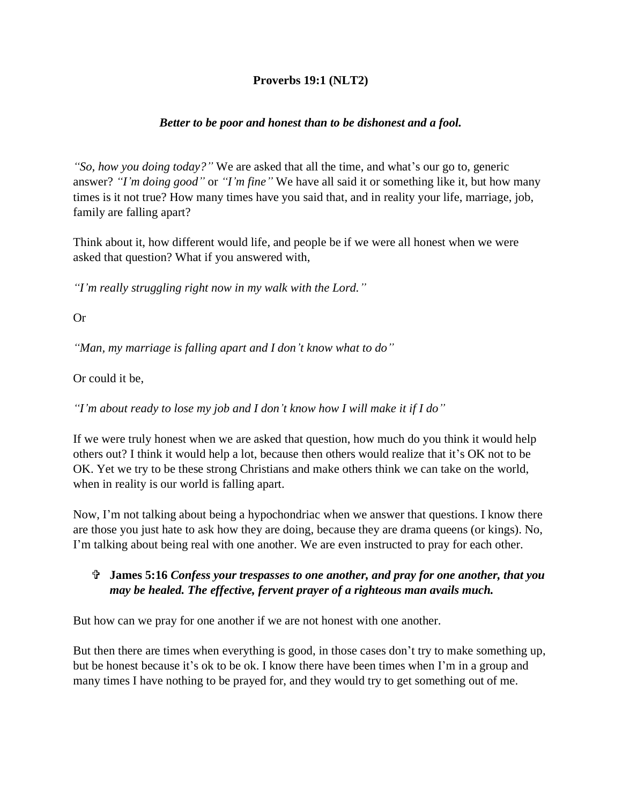## **Proverbs 19:1 (NLT2)**

## *Better to be poor and honest than to be dishonest and a fool.*

*"So, how you doing today?"* We are asked that all the time, and what's our go to, generic answer? *"I'm doing good"* or *"I'm fine"* We have all said it or something like it, but how many times is it not true? How many times have you said that, and in reality your life, marriage, job, family are falling apart?

Think about it, how different would life, and people be if we were all honest when we were asked that question? What if you answered with,

*"I'm really struggling right now in my walk with the Lord."*

Or

*"Man, my marriage is falling apart and I don't know what to do"*

Or could it be,

*"I'm about ready to lose my job and I don't know how I will make it if I do"*

If we were truly honest when we are asked that question, how much do you think it would help others out? I think it would help a lot, because then others would realize that it's OK not to be OK. Yet we try to be these strong Christians and make others think we can take on the world, when in reality is our world is falling apart.

Now, I'm not talking about being a hypochondriac when we answer that questions. I know there are those you just hate to ask how they are doing, because they are drama queens (or kings). No, I'm talking about being real with one another. We are even instructed to pray for each other.

## **James 5:16** *Confess your trespasses to one another, and pray for one another, that you may be healed. The effective, fervent prayer of a righteous man avails much.*

But how can we pray for one another if we are not honest with one another.

But then there are times when everything is good, in those cases don't try to make something up, but be honest because it's ok to be ok. I know there have been times when I'm in a group and many times I have nothing to be prayed for, and they would try to get something out of me.